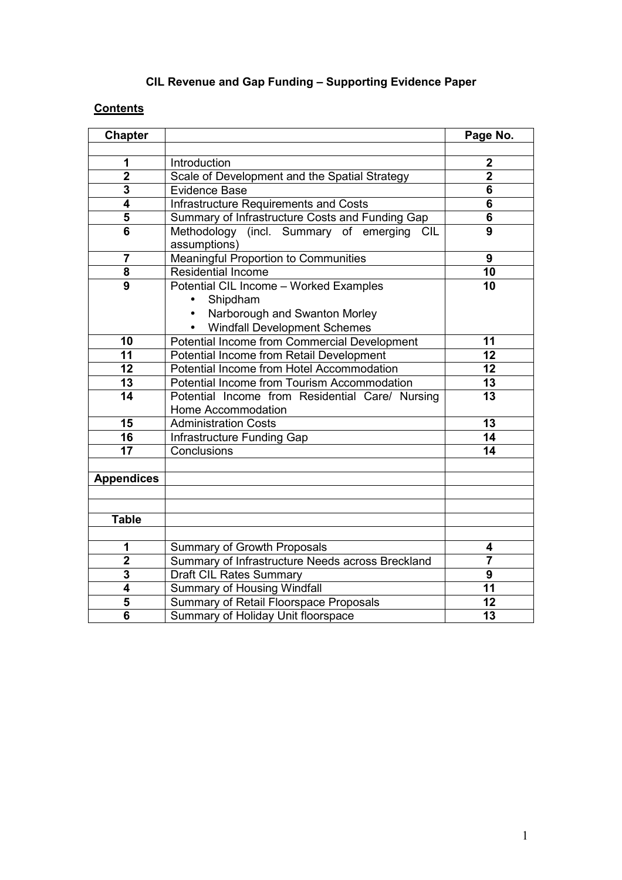# **CIL Revenue and Gap Funding – Supporting Evidence Paper**

# **Contents**

| <b>Chapter</b>          |                                                            | Page No.                |
|-------------------------|------------------------------------------------------------|-------------------------|
|                         |                                                            |                         |
| 1                       | Introduction                                               | $\mathbf 2$             |
| $\overline{\mathbf{2}}$ | Scale of Development and the Spatial Strategy              | $\overline{\mathbf{2}}$ |
| 3                       | <b>Evidence Base</b>                                       | 6                       |
| 4                       | Infrastructure Requirements and Costs                      | 6                       |
| 5                       | Summary of Infrastructure Costs and Funding Gap            | 6                       |
| 6                       | Methodology (incl. Summary of emerging CIL<br>assumptions) | 9                       |
| $\overline{7}$          | <b>Meaningful Proportion to Communities</b>                | 9                       |
| 8                       | <b>Residential Income</b>                                  | 10                      |
| $\overline{9}$          | Potential CIL Income - Worked Examples                     | $\overline{10}$         |
|                         | Shipdham<br>$\bullet$                                      |                         |
|                         | Narborough and Swanton Morley<br>$\bullet$                 |                         |
|                         | <b>Windfall Development Schemes</b>                        |                         |
| 10                      | Potential Income from Commercial Development               | 11                      |
| 11                      | <b>Potential Income from Retail Development</b>            | $\overline{12}$         |
| 12                      | Potential Income from Hotel Accommodation                  | 12                      |
| 13                      | Potential Income from Tourism Accommodation                | 13                      |
| 14                      | Potential Income from Residential Care/ Nursing            | 13                      |
|                         | Home Accommodation                                         |                         |
| 15                      | <b>Administration Costs</b>                                | 13                      |
| 16                      | Infrastructure Funding Gap                                 | 14                      |
| 17                      | Conclusions                                                | 14                      |
|                         |                                                            |                         |
| <b>Appendices</b>       |                                                            |                         |
|                         |                                                            |                         |
|                         |                                                            |                         |
| <b>Table</b>            |                                                            |                         |
|                         |                                                            |                         |
| 1                       | Summary of Growth Proposals                                | 4                       |
| $\mathbf 2$             | Summary of Infrastructure Needs across Breckland           | $\overline{7}$          |
| 3                       | <b>Draft CIL Rates Summary</b>                             | 9                       |
| 4                       | <b>Summary of Housing Windfall</b>                         | 11                      |
| 5                       | Summary of Retail Floorspace Proposals                     | 12                      |
| 6                       | Summary of Holiday Unit floorspace                         | 13                      |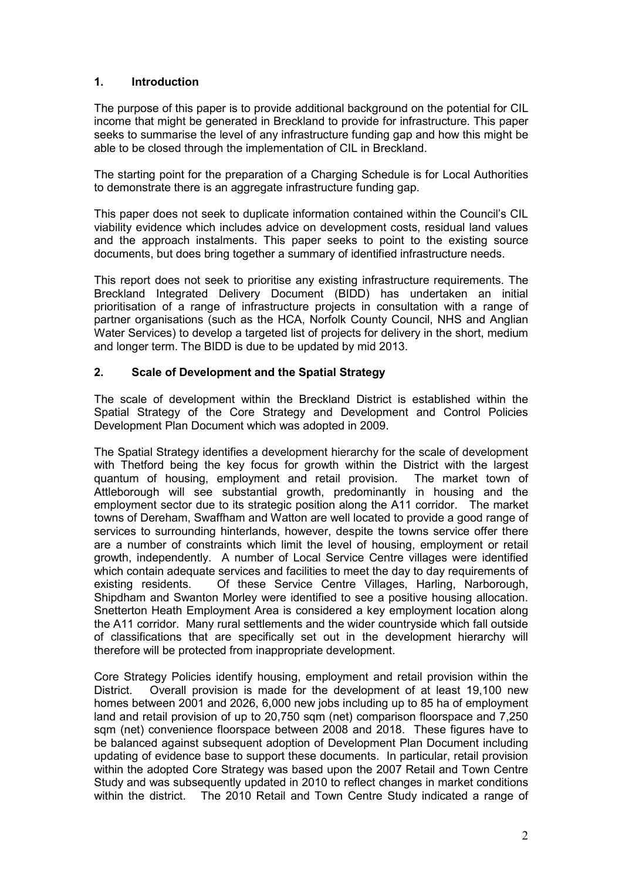### **1. Introduction**

The purpose of this paper is to provide additional background on the potential for CIL income that might be generated in Breckland to provide for infrastructure. This paper seeks to summarise the level of any infrastructure funding gap and how this might be able to be closed through the implementation of CIL in Breckland.

The starting point for the preparation of a Charging Schedule is for Local Authorities to demonstrate there is an aggregate infrastructure funding gap.

This paper does not seek to duplicate information contained within the Council's CIL viability evidence which includes advice on development costs, residual land values and the approach instalments. This paper seeks to point to the existing source documents, but does bring together a summary of identified infrastructure needs.

This report does not seek to prioritise any existing infrastructure requirements. The Breckland Integrated Delivery Document (BIDD) has undertaken an initial prioritisation of a range of infrastructure projects in consultation with a range of partner organisations (such as the HCA, Norfolk County Council, NHS and Anglian Water Services) to develop a targeted list of projects for delivery in the short, medium and longer term. The BIDD is due to be updated by mid 2013.

#### **2. Scale of Development and the Spatial Strategy**

The scale of development within the Breckland District is established within the Spatial Strategy of the Core Strategy and Development and Control Policies Development Plan Document which was adopted in 2009.

The Spatial Strategy identifies a development hierarchy for the scale of development with Thetford being the key focus for growth within the District with the largest quantum of housing, employment and retail provision. The market town of Attleborough will see substantial growth, predominantly in housing and the employment sector due to its strategic position along the A11 corridor. The market towns of Dereham, Swaffham and Watton are well located to provide a good range of services to surrounding hinterlands, however, despite the towns service offer there are a number of constraints which limit the level of housing, employment or retail growth, independently. A number of Local Service Centre villages were identified which contain adequate services and facilities to meet the day to day requirements of existing residents. Of these Service Centre Villages, Harling, Narborough, Shipdham and Swanton Morley were identified to see a positive housing allocation. Snetterton Heath Employment Area is considered a key employment location along the A11 corridor. Many rural settlements and the wider countryside which fall outside of classifications that are specifically set out in the development hierarchy will therefore will be protected from inappropriate development.

Core Strategy Policies identify housing, employment and retail provision within the District. Overall provision is made for the development of at least 19,100 new homes between 2001 and 2026, 6,000 new jobs including up to 85 ha of employment land and retail provision of up to 20,750 sqm (net) comparison floorspace and 7,250 sqm (net) convenience floorspace between 2008 and 2018. These figures have to be balanced against subsequent adoption of Development Plan Document including updating of evidence base to support these documents. In particular, retail provision within the adopted Core Strategy was based upon the 2007 Retail and Town Centre Study and was subsequently updated in 2010 to reflect changes in market conditions within the district. The 2010 Retail and Town Centre Study indicated a range of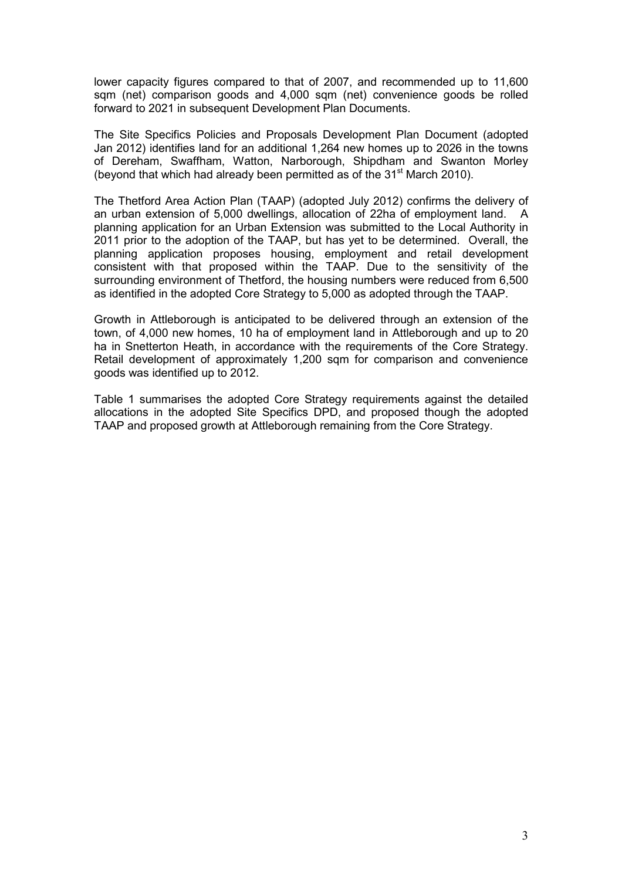lower capacity figures compared to that of 2007, and recommended up to 11,600 sqm (net) comparison goods and 4,000 sqm (net) convenience goods be rolled forward to 2021 in subsequent Development Plan Documents.

The Site Specifics Policies and Proposals Development Plan Document (adopted Jan 2012) identifies land for an additional 1,264 new homes up to 2026 in the towns of Dereham, Swaffham, Watton, Narborough, Shipdham and Swanton Morley (beyond that which had already been permitted as of the  $31<sup>st</sup>$  March 2010).

The Thetford Area Action Plan (TAAP) (adopted July 2012) confirms the delivery of an urban extension of 5,000 dwellings, allocation of 22ha of employment land. A planning application for an Urban Extension was submitted to the Local Authority in 2011 prior to the adoption of the TAAP, but has yet to be determined. Overall, the planning application proposes housing, employment and retail development consistent with that proposed within the TAAP. Due to the sensitivity of the surrounding environment of Thetford, the housing numbers were reduced from 6,500 as identified in the adopted Core Strategy to 5,000 as adopted through the TAAP.

Growth in Attleborough is anticipated to be delivered through an extension of the town, of 4,000 new homes, 10 ha of employment land in Attleborough and up to 20 ha in Snetterton Heath, in accordance with the requirements of the Core Strategy. Retail development of approximately 1,200 sqm for comparison and convenience goods was identified up to 2012.

Table 1 summarises the adopted Core Strategy requirements against the detailed allocations in the adopted Site Specifics DPD, and proposed though the adopted TAAP and proposed growth at Attleborough remaining from the Core Strategy.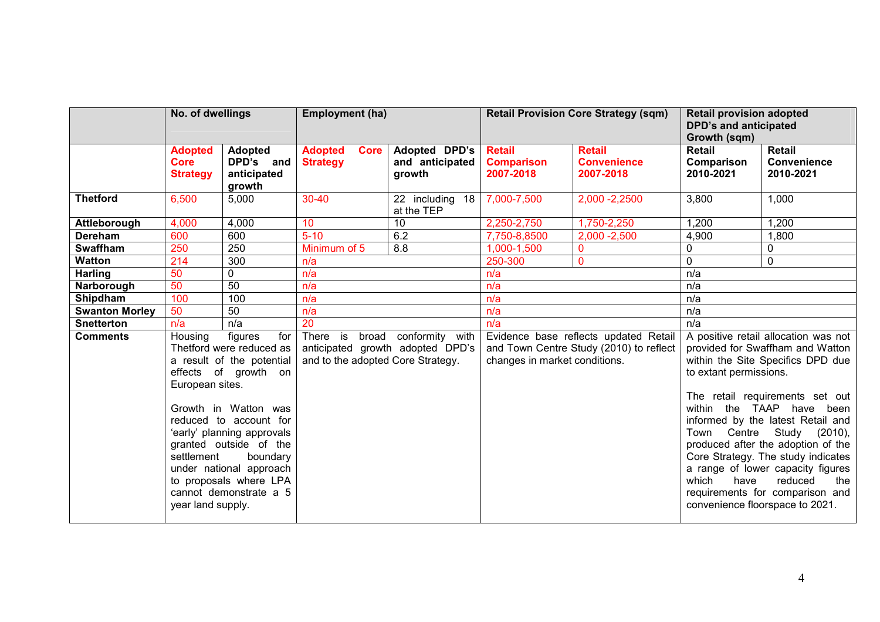|                       | No. of dwellings                                              |                                                                                                                                                                                                                                                                                                      | <b>Employment (ha)</b>                                                                                           |                                            | <b>Retail Provision Core Strategy (sqm)</b>                                                                       |                                                  | <b>Retail provision adopted</b><br><b>DPD's and anticipated</b><br>Growth (sqm) |                                                                                                                                                                                                                                                                                                                                                                                                                                             |
|-----------------------|---------------------------------------------------------------|------------------------------------------------------------------------------------------------------------------------------------------------------------------------------------------------------------------------------------------------------------------------------------------------------|------------------------------------------------------------------------------------------------------------------|--------------------------------------------|-------------------------------------------------------------------------------------------------------------------|--------------------------------------------------|---------------------------------------------------------------------------------|---------------------------------------------------------------------------------------------------------------------------------------------------------------------------------------------------------------------------------------------------------------------------------------------------------------------------------------------------------------------------------------------------------------------------------------------|
|                       | <b>Adopted</b><br>Core<br><b>Strategy</b>                     | <b>Adopted</b><br>DPD's and<br>anticipated<br>growth                                                                                                                                                                                                                                                 | <b>Adopted</b><br><b>Core</b><br><b>Strategy</b>                                                                 | Adopted DPD's<br>and anticipated<br>growth | <b>Retail</b><br><b>Comparison</b><br>2007-2018                                                                   | <b>Retail</b><br><b>Convenience</b><br>2007-2018 | Retail<br>Comparison<br>2010-2021                                               | <b>Retail</b><br>Convenience<br>2010-2021                                                                                                                                                                                                                                                                                                                                                                                                   |
| <b>Thetford</b>       | 6,500                                                         | 5,000                                                                                                                                                                                                                                                                                                | $30 - 40$                                                                                                        | 22 including 18<br>at the TEP              | 7,000-7,500                                                                                                       | 2,000 - 2,2500                                   | 3,800                                                                           | 1,000                                                                                                                                                                                                                                                                                                                                                                                                                                       |
| Attleborough          | 4,000                                                         | 4,000                                                                                                                                                                                                                                                                                                | 10                                                                                                               | 10                                         | 2,250-2,750                                                                                                       | 1,750-2,250                                      | 1,200                                                                           | 1,200                                                                                                                                                                                                                                                                                                                                                                                                                                       |
| Dereham               | 600                                                           | 600                                                                                                                                                                                                                                                                                                  | $5 - 10$                                                                                                         | 6.2                                        | 7,750-8,8500                                                                                                      | $2,000 - 2,500$                                  | 4,900                                                                           | 1,800                                                                                                                                                                                                                                                                                                                                                                                                                                       |
| <b>Swaffham</b>       | 250                                                           | 250                                                                                                                                                                                                                                                                                                  | Minimum of 5                                                                                                     | 8.8                                        | 1,000-1,500                                                                                                       | $\mathbf 0$                                      | 0                                                                               | 0                                                                                                                                                                                                                                                                                                                                                                                                                                           |
| <b>Watton</b>         | 214                                                           | 300                                                                                                                                                                                                                                                                                                  | n/a                                                                                                              |                                            | 250-300                                                                                                           | 0                                                | $\overline{0}$                                                                  | $\mathbf 0$                                                                                                                                                                                                                                                                                                                                                                                                                                 |
| <b>Harling</b>        | 50                                                            | $\mathbf 0$                                                                                                                                                                                                                                                                                          | n/a                                                                                                              |                                            | n/a                                                                                                               |                                                  | n/a                                                                             |                                                                                                                                                                                                                                                                                                                                                                                                                                             |
| Narborough            | 50                                                            | 50                                                                                                                                                                                                                                                                                                   | n/a                                                                                                              |                                            | n/a                                                                                                               |                                                  | n/a                                                                             |                                                                                                                                                                                                                                                                                                                                                                                                                                             |
| Shipdham              | 100                                                           | 100                                                                                                                                                                                                                                                                                                  | n/a                                                                                                              |                                            | n/a                                                                                                               |                                                  | n/a                                                                             |                                                                                                                                                                                                                                                                                                                                                                                                                                             |
| <b>Swanton Morley</b> | 50                                                            | 50                                                                                                                                                                                                                                                                                                   | n/a                                                                                                              |                                            | n/a                                                                                                               |                                                  | n/a                                                                             |                                                                                                                                                                                                                                                                                                                                                                                                                                             |
| <b>Snetterton</b>     | n/a                                                           | n/a                                                                                                                                                                                                                                                                                                  |                                                                                                                  |                                            | n/a                                                                                                               |                                                  | n/a                                                                             |                                                                                                                                                                                                                                                                                                                                                                                                                                             |
| <b>Comments</b>       | Housing<br>European sites.<br>settlement<br>year land supply. | figures<br>for<br>Thetford were reduced as<br>a result of the potential<br>effects of growth on<br>Growth in Watton was<br>reduced to account for<br>'early' planning approvals<br>granted outside of the<br>boundary<br>under national approach<br>to proposals where LPA<br>cannot demonstrate a 5 | 20<br>There is<br>broad conformity with<br>anticipated growth adopted DPD's<br>and to the adopted Core Strategy. |                                            | Evidence base reflects updated Retail<br>and Town Centre Study (2010) to reflect<br>changes in market conditions. |                                                  | to extant permissions.<br>within the TAAP<br>which<br>have                      | A positive retail allocation was not<br>provided for Swaffham and Watton<br>within the Site Specifics DPD due<br>The retail requirements set out<br>have<br>been<br>informed by the latest Retail and<br>Town Centre Study (2010),<br>produced after the adoption of the<br>Core Strategy. The study indicates<br>a range of lower capacity figures<br>reduced<br>the<br>requirements for comparison and<br>convenience floorspace to 2021. |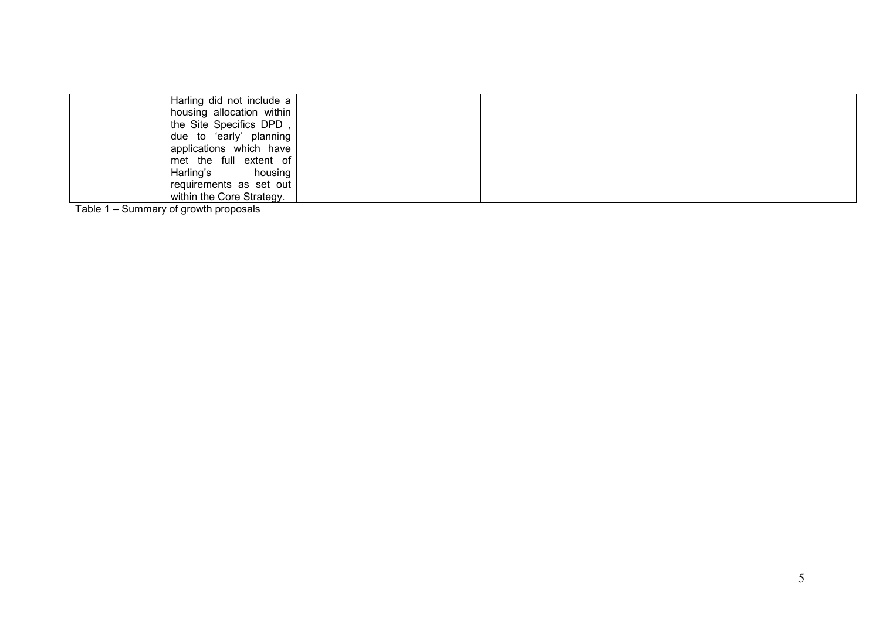| Harling did not include a |  |  |
|---------------------------|--|--|
|                           |  |  |
| housing allocation within |  |  |
| the Site Specifics DPD,   |  |  |
| due to 'early' planning   |  |  |
| applications which have   |  |  |
| met the full extent of    |  |  |
| Harling's<br>housing      |  |  |
| requirements as set out   |  |  |
| within the Core Strategy. |  |  |

Table 1 – Summary of growth proposals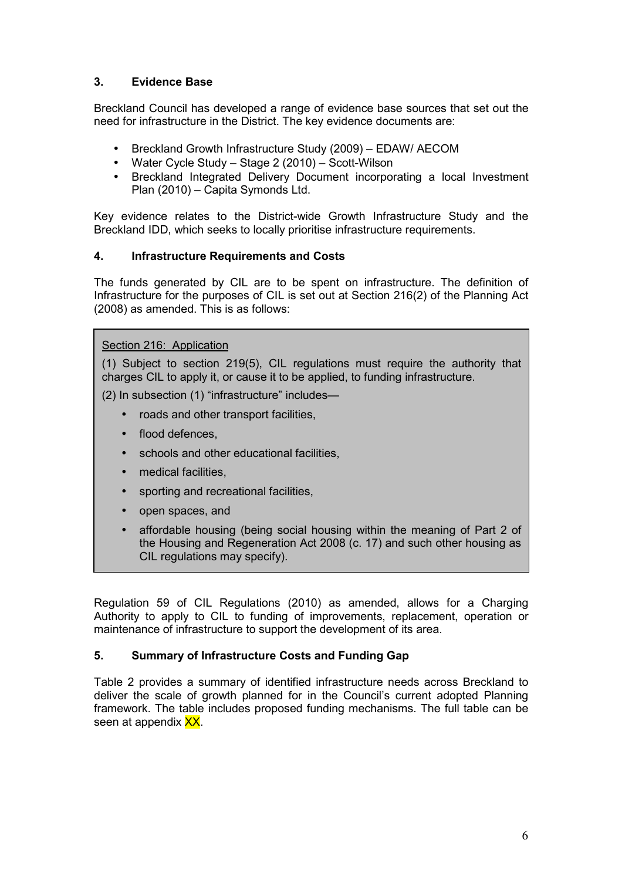# **3. Evidence Base**

Breckland Council has developed a range of evidence base sources that set out the need for infrastructure in the District. The key evidence documents are:

- Breckland Growth Infrastructure Study (2009) EDAW/ AECOM
- Water Cycle Study Stage 2 (2010) Scott-Wilson
- Breckland Integrated Delivery Document incorporating a local Investment Plan (2010) – Capita Symonds Ltd.

Key evidence relates to the District-wide Growth Infrastructure Study and the Breckland IDD, which seeks to locally prioritise infrastructure requirements.

#### **4. Infrastructure Requirements and Costs**

The funds generated by CIL are to be spent on infrastructure. The definition of Infrastructure for the purposes of CIL is set out at Section 216(2) of the Planning Act (2008) as amended. This is as follows:

#### Section 216: Application

(1) Subject to section 219(5), CIL regulations must require the authority that charges CIL to apply it, or cause it to be applied, to funding infrastructure.

(2) In subsection (1) "infrastructure" includes—

- roads and other transport facilities,
- flood defences.
- schools and other educational facilities,
- medical facilities.
- sporting and recreational facilities.
- open spaces, and
- affordable housing (being social housing within the meaning of Part 2 of the Housing and Regeneration Act 2008 (c. 17) and such other housing as CIL regulations may specify).

Regulation 59 of CIL Regulations (2010) as amended, allows for a Charging Authority to apply to CIL to funding of improvements, replacement, operation or maintenance of infrastructure to support the development of its area.

### **5. Summary of Infrastructure Costs and Funding Gap**

Table 2 provides a summary of identified infrastructure needs across Breckland to deliver the scale of growth planned for in the Council's current adopted Planning framework. The table includes proposed funding mechanisms. The full table can be seen at appendix XX.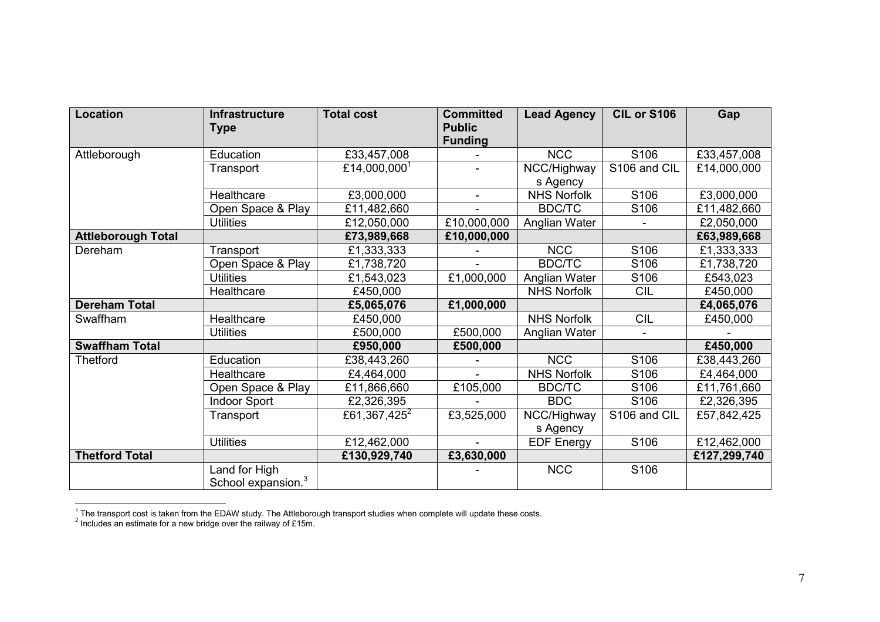| <b>Location</b>           | <b>Infrastructure</b><br><b>Type</b>            | <b>Total cost</b>        | <b>Committed</b><br><b>Public</b> | <b>Lead Agency</b> | CIL or S106  | Gap          |
|---------------------------|-------------------------------------------------|--------------------------|-----------------------------------|--------------------|--------------|--------------|
|                           |                                                 |                          | <b>Funding</b>                    |                    |              |              |
| Attleborough              | Education                                       | £33,457,008              |                                   | <b>NCC</b>         | S106         | £33,457,008  |
|                           | Transport                                       | £14,000,000 <sup>1</sup> |                                   | NCC/Highway        | S106 and CIL | £14,000,000  |
|                           | Healthcare                                      |                          |                                   | s Agency           |              |              |
|                           |                                                 | £3,000,000               | $\blacksquare$                    | <b>NHS Norfolk</b> | S106         | £3,000,000   |
|                           | Open Space & Play                               | £11,482,660              |                                   | <b>BDC/TC</b>      | S106         | £11,482,660  |
|                           | <b>Utilities</b>                                | £12,050,000              | E10,000,000                       | Anglian Water      |              | £2,050,000   |
| <b>Attleborough Total</b> |                                                 | £73,989,668              | £10,000,000                       |                    |              | £63,989,668  |
| Dereham                   | Transport                                       | £1,333,333               |                                   | <b>NCC</b>         | S106         | £1,333,333   |
|                           | Open Space & Play                               | £1,738,720               |                                   | <b>BDC/TC</b>      | S106         | £1,738,720   |
|                           | <b>Utilities</b>                                | £1,543,023               | £1,000,000                        | Anglian Water      | S106         | £543,023     |
|                           | Healthcare                                      | £450,000                 |                                   | <b>NHS Norfolk</b> | <b>CIL</b>   | £450,000     |
| <b>Dereham Total</b>      |                                                 | £5,065,076               | £1,000,000                        |                    |              | £4,065,076   |
| Swaffham                  | Healthcare                                      | £450,000                 |                                   | <b>NHS Norfolk</b> | <b>CIL</b>   | £450,000     |
|                           | <b>Utilities</b>                                | £500,000                 | £500,000                          | Anglian Water      |              |              |
| <b>Swaffham Total</b>     |                                                 | £950,000                 | £500,000                          |                    |              | £450,000     |
| <b>Thetford</b>           | Education                                       | £38,443,260              |                                   | <b>NCC</b>         | S106         | £38,443,260  |
|                           | Healthcare                                      | £4,464,000               |                                   | <b>NHS Norfolk</b> | S106         | £4,464,000   |
|                           | Open Space & Play                               | £11,866,660              | £105,000                          | <b>BDC/TC</b>      | S106         | £11,761,660  |
|                           | <b>Indoor Sport</b>                             | £2,326,395               |                                   | <b>BDC</b>         | S106         | £2,326,395   |
|                           | Transport                                       | £61,367,425 <sup>2</sup> | £3,525,000                        | NCC/Highway        | S106 and CIL | £57,842,425  |
|                           |                                                 |                          |                                   | s Agency           |              |              |
|                           | <b>Utilities</b>                                | £12,462,000              |                                   | <b>EDF Energy</b>  | S106         | £12,462,000  |
| <b>Thetford Total</b>     |                                                 | £130,929,740             | £3,630,000                        |                    |              | £127,299,740 |
|                           | Land for High<br>School expansion. <sup>3</sup> |                          |                                   | <b>NCC</b>         | S106         |              |

<sup>&</sup>lt;sup>1</sup> The transport cost is taken from the EDAW study. The Attleborough transport studies when complete will update these costs.<br><sup>2</sup> Includes an estimate for a new bridge over the railway of £15m.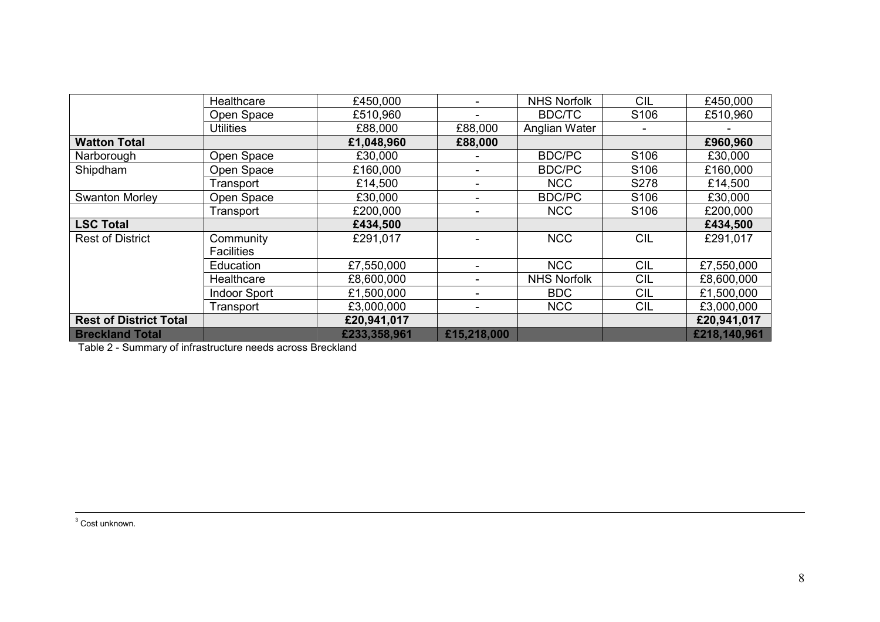|                               | Healthcare          | £450,000     |                          | <b>NHS Norfolk</b> | <b>CIL</b>       | £450,000     |
|-------------------------------|---------------------|--------------|--------------------------|--------------------|------------------|--------------|
|                               | Open Space          | £510,960     |                          | <b>BDC/TC</b>      | S <sub>106</sub> | £510,960     |
|                               | <b>Utilities</b>    | £88,000      | £88,000                  | Anglian Water      |                  |              |
| <b>Watton Total</b>           |                     | £1,048,960   | £88,000                  |                    |                  | £960,960     |
| Narborough                    | Open Space          | £30,000      |                          | <b>BDC/PC</b>      | S <sub>106</sub> | £30,000      |
| Shipdham                      | Open Space          | £160,000     |                          | <b>BDC/PC</b>      | S <sub>106</sub> | £160,000     |
|                               | Transport           | £14,500      |                          | <b>NCC</b>         | S278             | £14,500      |
| <b>Swanton Morley</b>         | Open Space          | £30,000      |                          | <b>BDC/PC</b>      | S106             | £30,000      |
|                               | Transport           | £200,000     | -                        | <b>NCC</b>         | S <sub>106</sub> | £200,000     |
| <b>LSC Total</b>              |                     | £434,500     |                          |                    |                  | £434,500     |
| <b>Rest of District</b>       | Community           | £291,017     |                          | <b>NCC</b>         | <b>CIL</b>       | £291,017     |
|                               | <b>Facilities</b>   |              |                          |                    |                  |              |
|                               | Education           | £7,550,000   | ۰                        | <b>NCC</b>         | <b>CIL</b>       | £7,550,000   |
|                               | Healthcare          | £8,600,000   | $\overline{\phantom{0}}$ | <b>NHS Norfolk</b> | <b>CIL</b>       | £8,600,000   |
|                               | <b>Indoor Sport</b> | £1,500,000   | ۰                        | <b>BDC</b>         | <b>CIL</b>       | £1,500,000   |
|                               | Transport           | £3,000,000   | ۰                        | <b>NCC</b>         | <b>CIL</b>       | £3,000,000   |
| <b>Rest of District Total</b> |                     | £20,941,017  |                          |                    |                  | £20,941,017  |
| <b>Breckland Total</b>        |                     | £233,358,961 | £15,218,000              |                    |                  | £218,140,961 |

Table 2 - Summary of infrastructure needs across Breckland

<sup>3</sup> Cost unknown.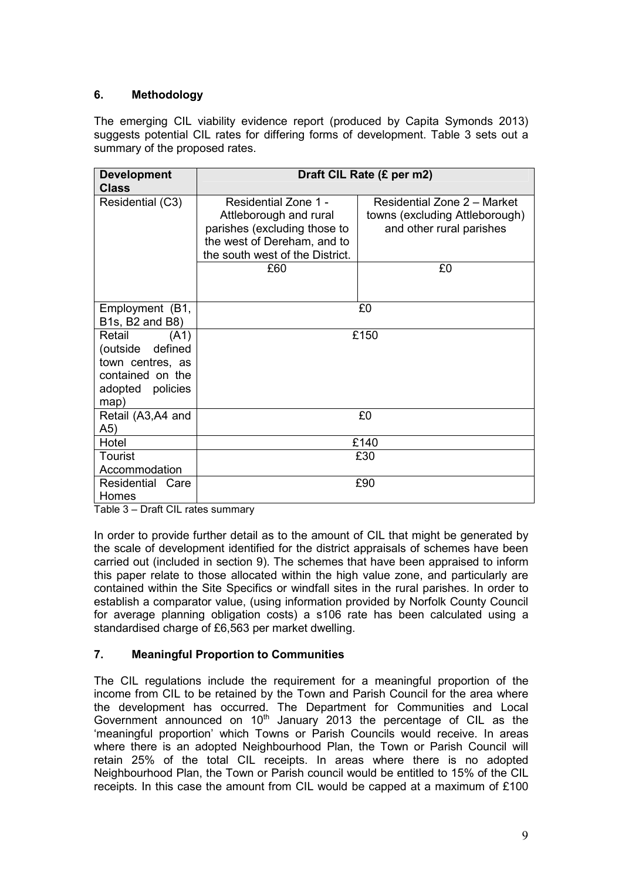# **6. Methodology**

The emerging CIL viability evidence report (produced by Capita Symonds 2013) suggests potential CIL rates for differing forms of development. Table 3 sets out a summary of the proposed rates.

| <b>Development</b>                                                                                     | Draft CIL Rate (£ per m2)                                                                                                                               |                                                                                                 |  |  |  |  |
|--------------------------------------------------------------------------------------------------------|---------------------------------------------------------------------------------------------------------------------------------------------------------|-------------------------------------------------------------------------------------------------|--|--|--|--|
| <b>Class</b>                                                                                           |                                                                                                                                                         |                                                                                                 |  |  |  |  |
| Residential (C3)                                                                                       | Residential Zone 1 -<br>Attleborough and rural<br>parishes (excluding those to<br>the west of Dereham, and to<br>the south west of the District.<br>£60 | Residential Zone 2 - Market<br>towns (excluding Attleborough)<br>and other rural parishes<br>£0 |  |  |  |  |
|                                                                                                        |                                                                                                                                                         |                                                                                                 |  |  |  |  |
| Employment (B1,<br>B1s, B2 and B8)                                                                     |                                                                                                                                                         | £0                                                                                              |  |  |  |  |
| Retail<br>(A1)<br>(outside defined<br>town centres, as<br>contained on the<br>adopted policies<br>map) |                                                                                                                                                         | £150                                                                                            |  |  |  |  |
| Retail (A3,A4 and<br>A5)                                                                               |                                                                                                                                                         | £0                                                                                              |  |  |  |  |
| Hotel                                                                                                  |                                                                                                                                                         | £140                                                                                            |  |  |  |  |
| Tourist<br>Accommodation                                                                               |                                                                                                                                                         | £30                                                                                             |  |  |  |  |
| Residential Care<br>Homes                                                                              |                                                                                                                                                         | £90                                                                                             |  |  |  |  |

Table 3 – Draft CIL rates summary

In order to provide further detail as to the amount of CIL that might be generated by the scale of development identified for the district appraisals of schemes have been carried out (included in section 9). The schemes that have been appraised to inform this paper relate to those allocated within the high value zone, and particularly are contained within the Site Specifics or windfall sites in the rural parishes. In order to establish a comparator value, (using information provided by Norfolk County Council for average planning obligation costs) a s106 rate has been calculated using a standardised charge of £6,563 per market dwelling.

### **7. Meaningful Proportion to Communities**

The CIL regulations include the requirement for a meaningful proportion of the income from CIL to be retained by the Town and Parish Council for the area where the development has occurred. The Department for Communities and Local Government announced on 10<sup>th</sup> January 2013 the percentage of CIL as the 'meaningful proportion' which Towns or Parish Councils would receive. In areas where there is an adopted Neighbourhood Plan, the Town or Parish Council will retain 25% of the total CIL receipts. In areas where there is no adopted Neighbourhood Plan, the Town or Parish council would be entitled to 15% of the CIL receipts. In this case the amount from CIL would be capped at a maximum of £100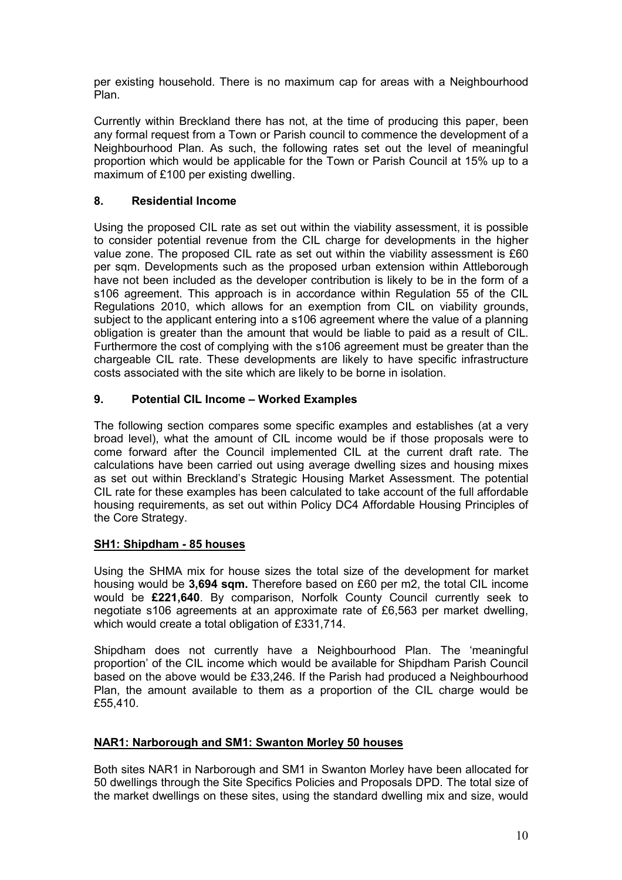per existing household. There is no maximum cap for areas with a Neighbourhood Plan.

Currently within Breckland there has not, at the time of producing this paper, been any formal request from a Town or Parish council to commence the development of a Neighbourhood Plan. As such, the following rates set out the level of meaningful proportion which would be applicable for the Town or Parish Council at 15% up to a maximum of £100 per existing dwelling.

### **8. Residential Income**

Using the proposed CIL rate as set out within the viability assessment, it is possible to consider potential revenue from the CIL charge for developments in the higher value zone. The proposed CIL rate as set out within the viability assessment is £60 per sqm. Developments such as the proposed urban extension within Attleborough have not been included as the developer contribution is likely to be in the form of a s106 agreement. This approach is in accordance within Regulation 55 of the CIL Regulations 2010, which allows for an exemption from CIL on viability grounds, subject to the applicant entering into a s106 agreement where the value of a planning obligation is greater than the amount that would be liable to paid as a result of CIL. Furthermore the cost of complying with the s106 agreement must be greater than the chargeable CIL rate. These developments are likely to have specific infrastructure costs associated with the site which are likely to be borne in isolation.

#### **9. Potential CIL Income – Worked Examples**

The following section compares some specific examples and establishes (at a very broad level), what the amount of CIL income would be if those proposals were to come forward after the Council implemented CIL at the current draft rate. The calculations have been carried out using average dwelling sizes and housing mixes as set out within Breckland's Strategic Housing Market Assessment. The potential CIL rate for these examples has been calculated to take account of the full affordable housing requirements, as set out within Policy DC4 Affordable Housing Principles of the Core Strategy.

#### **SH1: Shipdham - 85 houses**

Using the SHMA mix for house sizes the total size of the development for market housing would be **3,694 sqm.** Therefore based on £60 per m2, the total CIL income would be **£221,640**. By comparison, Norfolk County Council currently seek to negotiate s106 agreements at an approximate rate of £6,563 per market dwelling, which would create a total obligation of £331,714.

Shipdham does not currently have a Neighbourhood Plan. The 'meaningful proportion' of the CIL income which would be available for Shipdham Parish Council based on the above would be £33,246. If the Parish had produced a Neighbourhood Plan, the amount available to them as a proportion of the CIL charge would be £55,410.

#### **NAR1: Narborough and SM1: Swanton Morley 50 houses**

Both sites NAR1 in Narborough and SM1 in Swanton Morley have been allocated for 50 dwellings through the Site Specifics Policies and Proposals DPD. The total size of the market dwellings on these sites, using the standard dwelling mix and size, would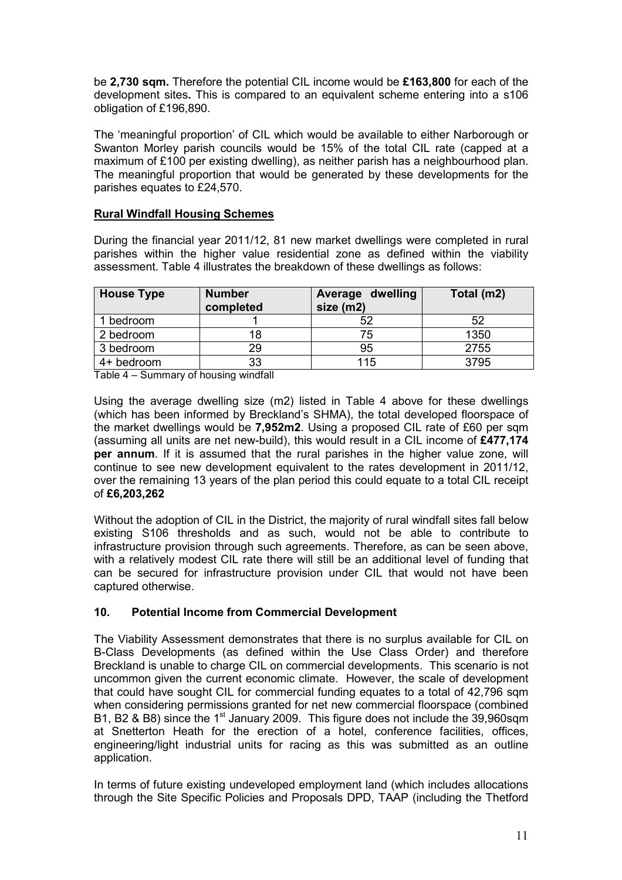be **2,730 sqm.** Therefore the potential CIL income would be **£163,800** for each of the development sites**.** This is compared to an equivalent scheme entering into a s106 obligation of £196,890.

The 'meaningful proportion' of CIL which would be available to either Narborough or Swanton Morley parish councils would be 15% of the total CIL rate (capped at a maximum of £100 per existing dwelling), as neither parish has a neighbourhood plan. The meaningful proportion that would be generated by these developments for the parishes equates to £24,570.

### **Rural Windfall Housing Schemes**

During the financial year 2011/12, 81 new market dwellings were completed in rural parishes within the higher value residential zone as defined within the viability assessment. Table 4 illustrates the breakdown of these dwellings as follows:

| <b>House Type</b> | <b>Number</b><br>completed | Average dwelling<br>size (m2) | Total (m2) |
|-------------------|----------------------------|-------------------------------|------------|
| bedroom           |                            | 52                            | 52         |
| 2 bedroom         | 18                         | 75                            | 1350       |
| 3 bedroom         | 29.                        | 95                            | 2755       |
| 4+ bedroom        | 33                         | 115                           | 3795       |

Table 4 – Summary of housing windfall

Using the average dwelling size (m2) listed in Table 4 above for these dwellings (which has been informed by Breckland's SHMA), the total developed floorspace of the market dwellings would be **7,952m2**. Using a proposed CIL rate of £60 per sqm (assuming all units are net new-build), this would result in a CIL income of **£477,174 per annum**. If it is assumed that the rural parishes in the higher value zone, will continue to see new development equivalent to the rates development in 2011/12, over the remaining 13 years of the plan period this could equate to a total CIL receipt of **£6,203,262**

Without the adoption of CIL in the District, the majority of rural windfall sites fall below existing S106 thresholds and as such, would not be able to contribute to infrastructure provision through such agreements. Therefore, as can be seen above, with a relatively modest CIL rate there will still be an additional level of funding that can be secured for infrastructure provision under CIL that would not have been captured otherwise.

#### **10. Potential Income from Commercial Development**

The Viability Assessment demonstrates that there is no surplus available for CIL on B-Class Developments (as defined within the Use Class Order) and therefore Breckland is unable to charge CIL on commercial developments. This scenario is not uncommon given the current economic climate. However, the scale of development that could have sought CIL for commercial funding equates to a total of 42,796 sqm when considering permissions granted for net new commercial floorspace (combined B1, B2 & B8) since the 1<sup>st</sup> January 2009. This figure does not include the 39,960sqm at Snetterton Heath for the erection of a hotel, conference facilities, offices, engineering/light industrial units for racing as this was submitted as an outline application.

In terms of future existing undeveloped employment land (which includes allocations through the Site Specific Policies and Proposals DPD, TAAP (including the Thetford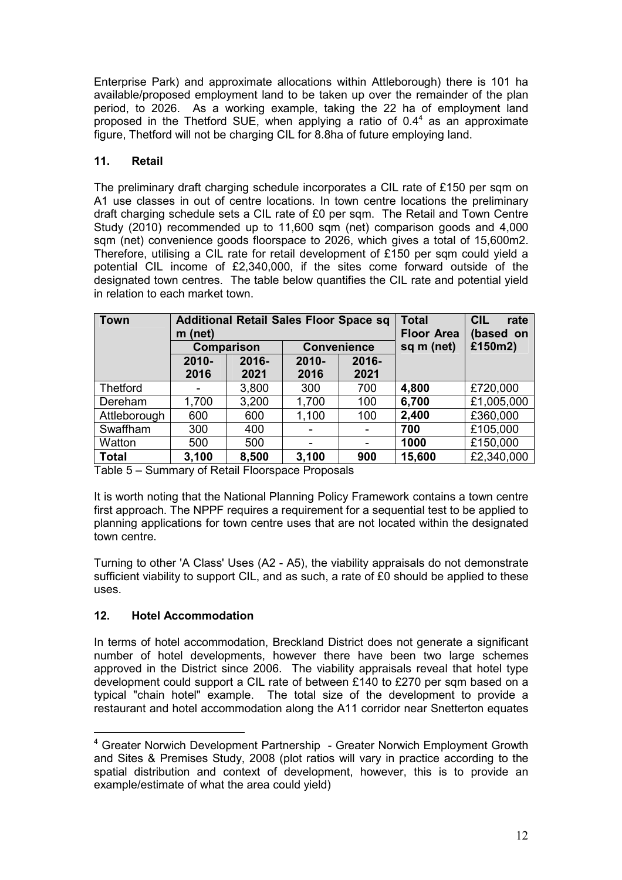Enterprise Park) and approximate allocations within Attleborough) there is 101 ha available/proposed employment land to be taken up over the remainder of the plan period, to 2026. As a working example, taking the 22 ha of employment land proposed in the Thetford SUE, when applying a ratio of  $0.4<sup>4</sup>$  as an approximate figure, Thetford will not be charging CIL for 8.8ha of future employing land.

# **11. Retail**

The preliminary draft charging schedule incorporates a CIL rate of £150 per sqm on A1 use classes in out of centre locations. In town centre locations the preliminary draft charging schedule sets a CIL rate of £0 per sqm. The Retail and Town Centre Study (2010) recommended up to 11,600 sqm (net) comparison goods and 4,000 sqm (net) convenience goods floorspace to 2026, which gives a total of 15,600m2. Therefore, utilising a CIL rate for retail development of £150 per sqm could yield a potential CIL income of £2,340,000, if the sites come forward outside of the designated town centres. The table below quantifies the CIL rate and potential yield in relation to each market town.

| <b>Town</b>  | $m$ (net)                               | <b>Additional Retail Sales Floor Space sq</b> | <b>Total</b><br><b>Floor Area</b> | <b>CIL</b><br>rate<br>based on |        |            |
|--------------|-----------------------------------------|-----------------------------------------------|-----------------------------------|--------------------------------|--------|------------|
|              | <b>Convenience</b><br><b>Comparison</b> |                                               | sq m (net)                        | £150m2)                        |        |            |
|              | $2010 -$                                | 2016-                                         | $2010 -$                          | 2016-                          |        |            |
|              | 2016                                    | 2021                                          | 2016                              | 2021                           |        |            |
| Thetford     |                                         | 3,800                                         | 300                               | 700                            | 4,800  | £720,000   |
| Dereham      | 1,700                                   | 3,200                                         | 1,700                             | 100                            | 6,700  | £1,005,000 |
| Attleborough | 600                                     | 600                                           | 1,100                             | 100                            | 2,400  | £360,000   |
| Swaffham     | 300                                     | 400                                           |                                   | -                              | 700    | £105,000   |
| Watton       | 500                                     | 500                                           |                                   | -                              | 1000   | £150,000   |
| <b>Total</b> | 3,100                                   | 8,500                                         | 3,100                             | 900                            | 15,600 | £2,340,000 |

Table 5 – Summary of Retail Floorspace Proposals

It is worth noting that the National Planning Policy Framework contains a town centre first approach. The NPPF requires a requirement for a sequential test to be applied to planning applications for town centre uses that are not located within the designated town centre.

Turning to other 'A Class' Uses (A2 - A5), the viability appraisals do not demonstrate sufficient viability to support CIL, and as such, a rate of £0 should be applied to these uses.

### **12. Hotel Accommodation**

 $\overline{a}$ 

In terms of hotel accommodation, Breckland District does not generate a significant number of hotel developments, however there have been two large schemes approved in the District since 2006. The viability appraisals reveal that hotel type development could support a CIL rate of between £140 to £270 per sqm based on a typical "chain hotel" example. The total size of the development to provide a restaurant and hotel accommodation along the A11 corridor near Snetterton equates

<sup>&</sup>lt;sup>4</sup> Greater Norwich Development Partnership - Greater Norwich Employment Growth and Sites & Premises Study, 2008 (plot ratios will vary in practice according to the spatial distribution and context of development, however, this is to provide an example/estimate of what the area could yield)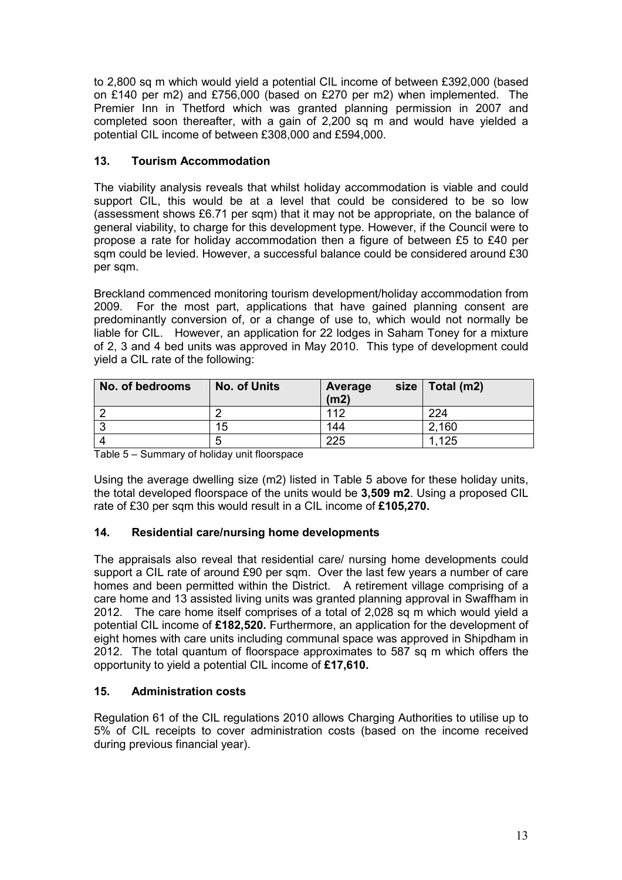to 2,800 sq m which would yield a potential CIL income of between £392,000 (based on £140 per m2) and £756,000 (based on £270 per m2) when implemented. The Premier Inn in Thetford which was granted planning permission in 2007 and completed soon thereafter, with a gain of 2,200 sq m and would have yielded a potential CIL income of between £308,000 and £594,000.

# **13. Tourism Accommodation**

The viability analysis reveals that whilst holiday accommodation is viable and could support CIL, this would be at a level that could be considered to be so low (assessment shows £6.71 per sqm) that it may not be appropriate, on the balance of general viability, to charge for this development type. However, if the Council were to propose a rate for holiday accommodation then a figure of between £5 to £40 per sqm could be levied. However, a successful balance could be considered around £30 per sqm.

Breckland commenced monitoring tourism development/holiday accommodation from 2009. For the most part, applications that have gained planning consent are predominantly conversion of, or a change of use to, which would not normally be liable for CIL. However, an application for 22 lodges in Saham Toney for a mixture of 2, 3 and 4 bed units was approved in May 2010. This type of development could yield a CIL rate of the following:

| No. of bedrooms | <b>No. of Units</b> | size<br>Average<br>(m2) | Total (m2) |
|-----------------|---------------------|-------------------------|------------|
|                 |                     | 112                     | 224        |
|                 | 15                  | 144                     | 2,160      |
|                 | ∽                   | 225                     | 1,125      |

Table 5 – Summary of holiday unit floorspace

Using the average dwelling size (m2) listed in Table 5 above for these holiday units, the total developed floorspace of the units would be **3,509 m2**. Using a proposed CIL rate of £30 per sqm this would result in a CIL income of **£105,270.**

### **14. Residential care/nursing home developments**

The appraisals also reveal that residential care/ nursing home developments could support a CIL rate of around £90 per sqm. Over the last few years a number of care homes and been permitted within the District. A retirement village comprising of a care home and 13 assisted living units was granted planning approval in Swaffham in 2012. The care home itself comprises of a total of 2,028 sq m which would yield a potential CIL income of **£182,520.** Furthermore, an application for the development of eight homes with care units including communal space was approved in Shipdham in 2012. The total quantum of floorspace approximates to 587 sq m which offers the opportunity to yield a potential CIL income of **£17,610.** 

### **15. Administration costs**

Regulation 61 of the CIL regulations 2010 allows Charging Authorities to utilise up to 5% of CIL receipts to cover administration costs (based on the income received during previous financial year).